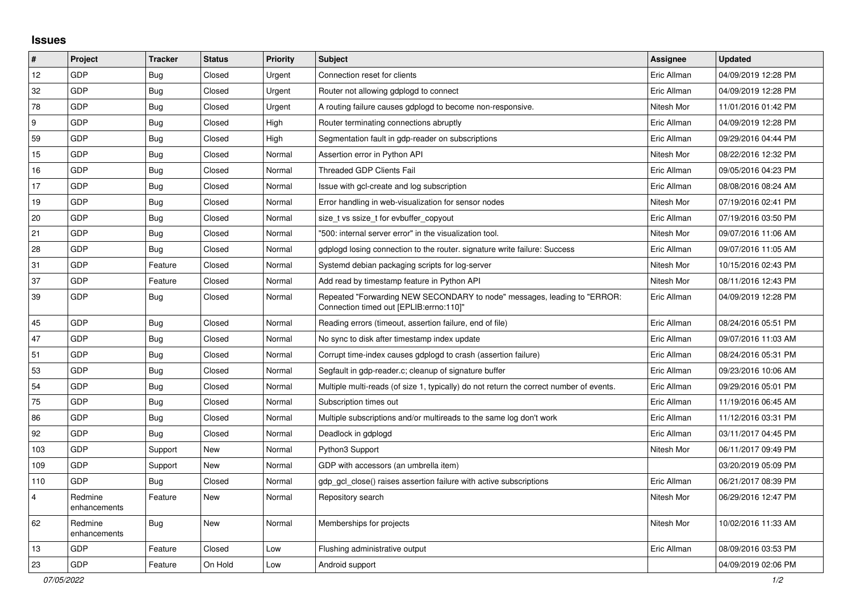## **Issues**

| $\vert$ #      | Project                 | <b>Tracker</b> | <b>Status</b> | <b>Priority</b> | <b>Subject</b>                                                                                                      | Assignee    | <b>Updated</b>      |
|----------------|-------------------------|----------------|---------------|-----------------|---------------------------------------------------------------------------------------------------------------------|-------------|---------------------|
| 12             | GDP                     | <b>Bug</b>     | Closed        | Urgent          | Connection reset for clients                                                                                        | Eric Allman | 04/09/2019 12:28 PM |
| 32             | GDP                     | <b>Bug</b>     | Closed        | Urgent          | Router not allowing gdplogd to connect                                                                              | Eric Allman | 04/09/2019 12:28 PM |
| 78             | GDP                     | <b>Bug</b>     | Closed        | Urgent          | A routing failure causes gdplogd to become non-responsive.                                                          | Nitesh Mor  | 11/01/2016 01:42 PM |
| 9              | GDP                     | <b>Bug</b>     | Closed        | High            | Router terminating connections abruptly                                                                             | Eric Allman | 04/09/2019 12:28 PM |
| 59             | GDP                     | <b>Bug</b>     | Closed        | High            | Segmentation fault in gdp-reader on subscriptions                                                                   | Eric Allman | 09/29/2016 04:44 PM |
| 15             | GDP                     | <b>Bug</b>     | Closed        | Normal          | Assertion error in Python API                                                                                       | Nitesh Mor  | 08/22/2016 12:32 PM |
| 16             | GDP                     | <b>Bug</b>     | Closed        | Normal          | <b>Threaded GDP Clients Fail</b>                                                                                    | Eric Allman | 09/05/2016 04:23 PM |
| 17             | GDP                     | <b>Bug</b>     | Closed        | Normal          | Issue with gcl-create and log subscription                                                                          | Eric Allman | 08/08/2016 08:24 AM |
| 19             | GDP                     | Bug            | Closed        | Normal          | Error handling in web-visualization for sensor nodes                                                                | Nitesh Mor  | 07/19/2016 02:41 PM |
| 20             | GDP                     | <b>Bug</b>     | Closed        | Normal          | size_t vs ssize_t for evbuffer_copyout                                                                              | Eric Allman | 07/19/2016 03:50 PM |
| 21             | GDP                     | <b>Bug</b>     | Closed        | Normal          | "500: internal server error" in the visualization tool.                                                             | Nitesh Mor  | 09/07/2016 11:06 AM |
| 28             | GDP                     | <b>Bug</b>     | Closed        | Normal          | gdplogd losing connection to the router. signature write failure: Success                                           | Eric Allman | 09/07/2016 11:05 AM |
| 31             | GDP                     | Feature        | Closed        | Normal          | Systemd debian packaging scripts for log-server                                                                     | Nitesh Mor  | 10/15/2016 02:43 PM |
| 37             | GDP                     | Feature        | Closed        | Normal          | Add read by timestamp feature in Python API                                                                         | Nitesh Mor  | 08/11/2016 12:43 PM |
| 39             | GDP                     | Bug            | Closed        | Normal          | Repeated "Forwarding NEW SECONDARY to node" messages, leading to "ERROR:<br>Connection timed out [EPLIB:errno:110]" | Eric Allman | 04/09/2019 12:28 PM |
| 45             | GDP                     | <b>Bug</b>     | Closed        | Normal          | Reading errors (timeout, assertion failure, end of file)                                                            | Eric Allman | 08/24/2016 05:51 PM |
| 47             | GDP                     | <b>Bug</b>     | Closed        | Normal          | No sync to disk after timestamp index update                                                                        | Eric Allman | 09/07/2016 11:03 AM |
| 51             | GDP                     | <b>Bug</b>     | Closed        | Normal          | Corrupt time-index causes gdplogd to crash (assertion failure)                                                      | Eric Allman | 08/24/2016 05:31 PM |
| 53             | GDP                     | <b>Bug</b>     | Closed        | Normal          | Segfault in gdp-reader.c; cleanup of signature buffer                                                               | Eric Allman | 09/23/2016 10:06 AM |
| 54             | GDP                     | <b>Bug</b>     | Closed        | Normal          | Multiple multi-reads (of size 1, typically) do not return the correct number of events.                             | Eric Allman | 09/29/2016 05:01 PM |
| 75             | GDP                     | <b>Bug</b>     | Closed        | Normal          | Subscription times out                                                                                              | Eric Allman | 11/19/2016 06:45 AM |
| 86             | GDP                     | <b>Bug</b>     | Closed        | Normal          | Multiple subscriptions and/or multireads to the same log don't work                                                 | Eric Allman | 11/12/2016 03:31 PM |
| 92             | GDP                     | Bug            | Closed        | Normal          | Deadlock in gdplogd                                                                                                 | Eric Allman | 03/11/2017 04:45 PM |
| 103            | GDP                     | Support        | <b>New</b>    | Normal          | Python3 Support                                                                                                     | Nitesh Mor  | 06/11/2017 09:49 PM |
| 109            | GDP                     | Support        | New           | Normal          | GDP with accessors (an umbrella item)                                                                               |             | 03/20/2019 05:09 PM |
| 110            | GDP                     | Bug            | Closed        | Normal          | gdp gcl close() raises assertion failure with active subscriptions                                                  | Eric Allman | 06/21/2017 08:39 PM |
| $\overline{4}$ | Redmine<br>enhancements | Feature        | New           | Normal          | Repository search                                                                                                   | Nitesh Mor  | 06/29/2016 12:47 PM |
| 62             | Redmine<br>enhancements | <b>Bug</b>     | New           | Normal          | Memberships for projects                                                                                            | Nitesh Mor  | 10/02/2016 11:33 AM |
| 13             | GDP                     | Feature        | Closed        | Low             | Flushing administrative output                                                                                      | Eric Allman | 08/09/2016 03:53 PM |
| 23             | GDP                     | Feature        | On Hold       | Low             | Android support                                                                                                     |             | 04/09/2019 02:06 PM |